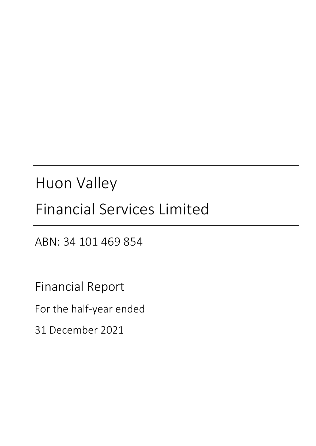# Huon Valley

# Financial Services Limited

ABN: 34 101 469 854

Financial Report

For the half‐year ended

31 December 2021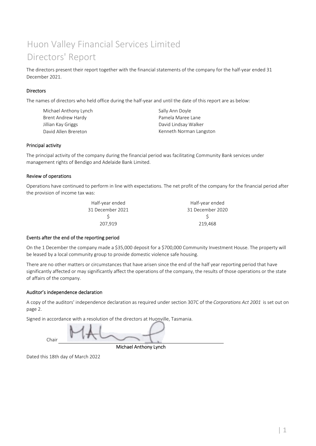## Huon Valley Financial Services Limited Directors' Report

The directors present their report together with the financial statements of the company for the half-year ended 31 December 2021.

#### **Directors**

The names of directors who held office during the half-year and until the date of this report are as below:

| Michael Anthony Lynch | Sally Ann Doyle         |
|-----------------------|-------------------------|
| Brent Andrew Hardy    | Pamela Maree Lane       |
| Jillian Kay Griggs    | David Lindsay Walker    |
| David Allen Brereton  | Kenneth Norman Langston |
|                       |                         |

#### Principal activity

The principal activity of the company during the financial period was facilitating Community Bank services under management rights of Bendigo and Adelaide Bank Limited.

#### Review of operations

Operations have continued to perform in line with expectations. The net profit of the company for the financial period after the provision of income tax was:

| Half-year ended  | Half-year ended  |
|------------------|------------------|
| 31 December 2021 | 31 December 2020 |
|                  |                  |
| 207.919          | 219,468          |
|                  |                  |

#### Events after the end of the reporting period

On the 1 December the company made a \$35,000 deposit for a \$700,000 Community Investment House. The property will be leased by a local community group to provide domestic violence safe housing.

There are no other matters or circumstances that have arisen since the end of the half year reporting period that have significantly affected or may significantly affect the operations of the company, the results of those operations or the state of affairs of the company.

#### Auditor's independence declaration

A copy of the auditors' independence declaration as required under section 307C of the *Corporations Act 2001* is set out on page 2.

Signed in accordance with a resolution of the directors at Huonville, Tasmania.

Chair

Michael Anthony Lynch

Dated this 18th day of March 2022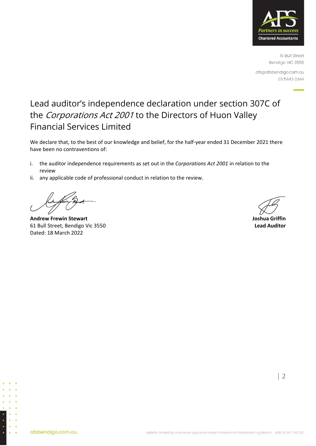

61 Bull Street Bendigo VIC 3550

afs@afsbendigo.com.au 03 5443 0344

### Lead auditor's independence declaration under section 307C of the Corporations Act 2001 to the Directors of Huon Valley Financial Services Limited

We declare that, to the best of our knowledge and belief, for the half-year ended 31 December 2021 there have been no contraventions of:

- i. the auditor independence requirements as set out in the *Corporations Act 2001* in relation to the review
- ii. any applicable code of professional conduct in relation to the review.

**Andrew Frewin Stewart Joshua Griffin** 61 Bull Street, Bendigo Vic 3550 **Lead Auditor** Dated: 18 March 2022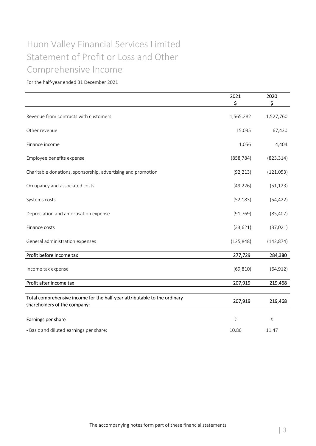## Statement of Profit or Loss and Other Huon Valley Financial Services Limited Comprehensive Income

|                                                                                                           | 2021<br>\$ | 2020<br>\$ |
|-----------------------------------------------------------------------------------------------------------|------------|------------|
| Revenue from contracts with customers                                                                     | 1,565,282  | 1,527,760  |
| Other revenue                                                                                             | 15,035     | 67,430     |
| Finance income                                                                                            | 1,056      | 4,404      |
| Employee benefits expense                                                                                 | (858, 784) | (823, 314) |
| Charitable donations, sponsorship, advertising and promotion                                              | (92, 213)  | (121,053)  |
| Occupancy and associated costs                                                                            | (49, 226)  | (51, 123)  |
| Systems costs                                                                                             | (52, 183)  | (54, 422)  |
| Depreciation and amortisation expense                                                                     | (91, 769)  | (85, 407)  |
| Finance costs                                                                                             | (33, 621)  | (37, 021)  |
| General administration expenses                                                                           | (125, 848) | (142, 874) |
| Profit before income tax                                                                                  | 277,729    | 284,380    |
| Income tax expense                                                                                        | (69, 810)  | (64, 912)  |
| Profit after income tax                                                                                   | 207,919    | 219,468    |
| Total comprehensive income for the half-year attributable to the ordinary<br>shareholders of the company: | 207,919    | 219,468    |
| Earnings per share                                                                                        | $\zeta$    | ¢          |
| - Basic and diluted earnings per share:                                                                   | 10.86      | 11.47      |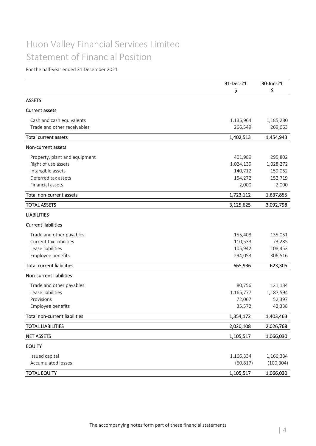### Huon Valley Financial Services Limited Statement of Financial Position

|                                  | 31-Dec-21 | 30-Jun-21  |
|----------------------------------|-----------|------------|
|                                  | \$        | \$         |
| <b>ASSETS</b>                    |           |            |
| <b>Current assets</b>            |           |            |
| Cash and cash equivalents        | 1,135,964 | 1,185,280  |
| Trade and other receivables      | 266,549   | 269,663    |
| <b>Total current assets</b>      | 1,402,513 | 1,454,943  |
| Non-current assets               |           |            |
| Property, plant and equipment    | 401,989   | 295,802    |
| Right of use assets              | 1,024,139 | 1,028,272  |
| Intangible assets                | 140,712   | 159,062    |
| Deferred tax assets              | 154,272   | 152,719    |
| Financial assets                 | 2,000     | 2,000      |
| Total non-current assets         | 1,723,112 | 1,637,855  |
| <b>TOTAL ASSETS</b>              | 3,125,625 | 3,092,798  |
| <b>LIABILITIES</b>               |           |            |
| <b>Current liabilities</b>       |           |            |
| Trade and other payables         | 155,408   | 135,051    |
| Current tax liabilities          | 110,533   | 73,285     |
| Lease liabilities                | 105,942   | 108,453    |
| Employee benefits                | 294,053   | 306,516    |
| <b>Total current liabilities</b> | 665,936   | 623,305    |
| Non-current liabilities          |           |            |
| Trade and other payables         | 80,756    | 121,134    |
| Lease liabilities                | 1,165,777 | 1,187,594  |
| Provisions                       | 72,067    | 52,397     |
| Employee benefits                | 35,572    | 42,338     |
| Total non-current liabilities    | 1,354,172 | 1,403,463  |
| <b>TOTAL LIABILITIES</b>         | 2,020,108 | 2,026,768  |
| <b>NET ASSETS</b>                | 1,105,517 | 1,066,030  |
| <b>EQUITY</b>                    |           |            |
| Issued capital                   | 1,166,334 | 1,166,334  |
| <b>Accumulated losses</b>        | (60, 817) | (100, 304) |
| <b>TOTAL EQUITY</b>              | 1,105,517 | 1,066,030  |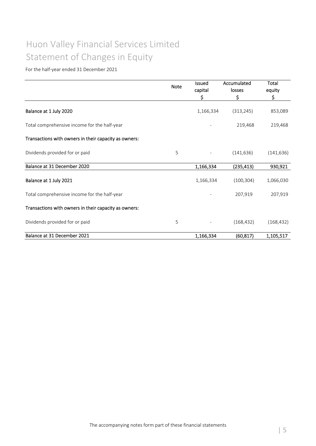## Huon Valley Financial Services Limited Statement of Changes in Equity

|                                                       | <b>Note</b> | <b>Issued</b><br>capital | Accumulated<br>losses | Total<br>equity |  |
|-------------------------------------------------------|-------------|--------------------------|-----------------------|-----------------|--|
|                                                       |             | \$                       | \$                    | \$              |  |
| Balance at 1 July 2020                                |             | 1,166,334                | (313, 245)            | 853,089         |  |
| Total comprehensive income for the half-year          |             |                          | 219,468               | 219,468         |  |
| Transactions with owners in their capacity as owners: |             |                          |                       |                 |  |
| Dividends provided for or paid                        | 5           | $\overline{\phantom{a}}$ | (141, 636)            | (141, 636)      |  |
| Balance at 31 December 2020                           |             | 1,166,334                | (235,413)             | 930,921         |  |
| Balance at 1 July 2021                                |             | 1,166,334                | (100, 304)            | 1,066,030       |  |
| Total comprehensive income for the half-year          |             |                          | 207,919               | 207,919         |  |
| Transactions with owners in their capacity as owners: |             |                          |                       |                 |  |
| Dividends provided for or paid                        | 5           |                          | (168, 432)            | (168, 432)      |  |
| Balance at 31 December 2021                           |             | 1,166,334                | (60, 817)             | 1,105,517       |  |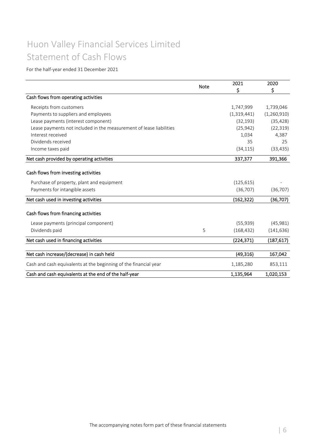## Huon Valley Financial Services Limited Statement of Cash Flows

|                                                                     | <b>Note</b> | 2021        | 2020        |
|---------------------------------------------------------------------|-------------|-------------|-------------|
|                                                                     |             | \$          | \$          |
| Cash flows from operating activities                                |             |             |             |
| Receipts from customers                                             |             | 1,747,999   | 1,739,046   |
| Payments to suppliers and employees                                 |             | (1,319,441) | (1,260,910) |
| Lease payments (interest component)                                 |             | (32, 193)   | (35, 428)   |
| Lease payments not included in the measurement of lease liabilities |             | (25, 942)   | (22, 319)   |
| Interest received                                                   |             | 1,034       | 4,387       |
| Dividends received                                                  |             | 35          | 25          |
| Income taxes paid                                                   |             | (34, 115)   | (33, 435)   |
| Net cash provided by operating activities                           |             | 337,377     | 391,366     |
| Cash flows from investing activities                                |             |             |             |
| Purchase of property, plant and equipment                           |             | (125, 615)  |             |
| Payments for intangible assets                                      |             | (36, 707)   | (36, 707)   |
| Net cash used in investing activities                               |             | (162, 322)  | (36, 707)   |
| Cash flows from financing activities                                |             |             |             |
| Lease payments (principal component)                                |             | (55, 939)   | (45,981)    |
| Dividends paid                                                      | 5           | (168, 432)  | (141, 636)  |
| Net cash used in financing activities                               |             | (224, 371)  | (187, 617)  |
| Net cash increase/(decrease) in cash held                           |             | (49, 316)   | 167,042     |
| Cash and cash equivalents at the beginning of the financial year    |             | 1,185,280   | 853,111     |
| Cash and cash equivalents at the end of the half-year               |             | 1,135,964   | 1,020,153   |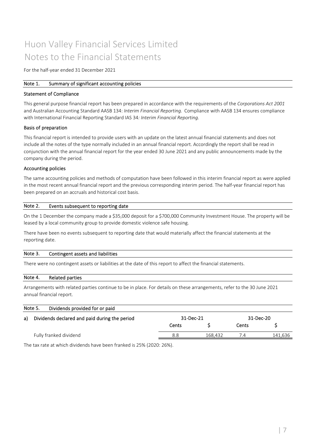### Huon Valley Financial Services Limited Notes to the Financial Statements

For the half‐year ended 31 December 2021

#### Note 1. Summary of significant accounting policies

#### Statement of Compliance

This general purpose financial report has been prepared in accordance with the requirements of the *Corporations Act 2001* and Australian Accounting Standard AASB 134: *Interim Financial Reporting.* Compliance with AASB 134 ensures compliance with International Financial Reporting Standard IAS 34*: Interim Financial Reporting.*

#### Basis of preparation

This financial report is intended to provide users with an update on the latest annual financial statements and does not include all the notes of the type normally included in an annual financial report. Accordingly the report shall be read in conjunction with the annual financial report for the year ended 30 June 2021 and any public announcements made by the company during the period.

#### Accounting policies

The same accounting policies and methods of computation have been followed in this interim financial report as were applied in the most recent annual financial report and the previous corresponding interim period. The half-year financial report has been prepared on an accruals and historical cost basis.

#### Events subsequent to reporting date Note 2.

On the 1 December the company made a \$35,000 deposit for a \$700,000 Community Investment House. The property will be leased by a local community group to provide domestic violence safe housing.

There have been no events subsequent to reporting date that would materially affect the financial statements at the reporting date.

#### Contingent assets and liabilities Note 3.

There were no contingent assets or liabilities at the date of this report to affect the financial statements.

#### Related parties Note 4.

Arrangements with related parties continue to be in place. For details on these arrangements, refer to the 30 June 2021 annual financial report.

|    | Note 5.<br>Dividends provided for or paid     |       |           |       |           |  |
|----|-----------------------------------------------|-------|-----------|-------|-----------|--|
| a) | Dividends declared and paid during the period |       | 31-Dec-21 |       | 31-Dec-20 |  |
|    |                                               | Cents |           | Cents |           |  |
|    | Fully franked dividend                        | 8.8   | 168.432   | / ∆   | 141,636   |  |

The tax rate at which dividends have been franked is 25% (2020: 26%).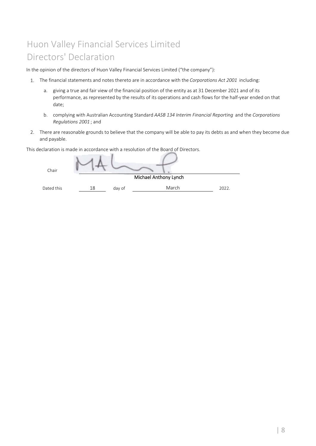# Huon Valley Financial Services Limited Directors' Declaration

In the opinion of the directors of Huon Valley Financial Services Limited ("the company"):

- 1. The financial statements and notes thereto are in accordance with the *Corporations Act 2001* including:
	- a. giving a true and fair view of the financial position of the entity as at 31 December 2021 and of its performance, as represented by the results of its operations and cash flows for the half‐year ended on that date;
	- b. complying with Australian Accounting Standard *AASB 134 Interim Financial Reporting* and the *Corporations Regulations 2001* ; and
- 2. There are reasonable grounds to believe that the company will be able to pay its debts as and when they become due and payable.

This declaration is made in accordance with a resolution of the Board of Directors.

| Chair      |    |        |                              |       |
|------------|----|--------|------------------------------|-------|
|            |    |        | <b>Michael Anthony Lynch</b> |       |
| Dated this | 18 | day of | March                        | 2022. |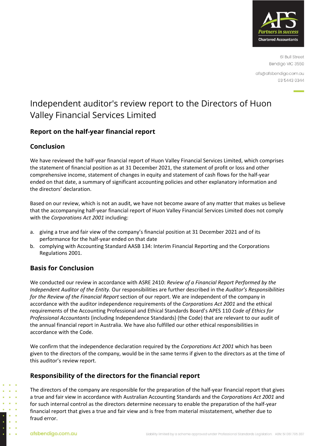

61 Bull Street Bendigo VIC 3550

afs@afsbendigo.com.au 03 5443 0344

### Independent auditor's review report to the Directors of Huon Valley Financial Services Limited

### **Report on the half-year financial report**

### **Conclusion**

We have reviewed the half‐year financial report of Huon Valley Financial Services Limited, which comprises the statement of financial position as at 31 December 2021, the statement of profit or loss and other comprehensive income, statement of changes in equity and statement of cash flows for the half‐year ended on that date, a summary of significant accounting policies and other explanatory information and the directors' declaration.

Based on our review, which is not an audit, we have not become aware of any matter that makes us believe that the accompanying half‐year financial report of Huon Valley Financial Services Limited does not comply with the *Corporations Act 2001* including:

- a. giving a true and fair view of the company's financial position at 31 December 2021 and of its performance for the half‐year ended on that date
- b. complying with Accounting Standard AASB 134: Interim Financial Reporting and the Corporations Regulations 2001.

### **Basis for Conclusion**

We conducted our review in accordance with ASRE 2410: *Review of a Financial Report Performed by the Independent Auditor of the Entity.* Our responsibilities are further described in the *Auditor's Responsibilities for the Review of the Financial Report* section of our report. We are independent of the company in accordance with the auditor independence requirements of the *Corporations Act 2001* and the ethical requirements of the Accounting Professional and Ethical Standards Board's APES 110 *Code of Ethics for Professional Accountants* (including Independence Standards) (the Code) that are relevant to our audit of the annual financial report in Australia. We have also fulfilled our other ethical responsibilities in accordance with the Code.

We confirm that the independence declaration required by the *Corporations Act 2001* which has been given to the directors of the company, would be in the same terms if given to the directors as at the time of this auditor's review report.

### **Responsibility of the directors for the financial report**

The directors of the company are responsible for the preparation of the half‐year financial report that gives a true and fair view in accordance with Australian Accounting Standards and the *Corporations Act 2001* and for such internal control as the directors determine necessary to enable the preparation of the half‐year financial report that gives a true and fair view and is free from material misstatement, whether due to fraud error.